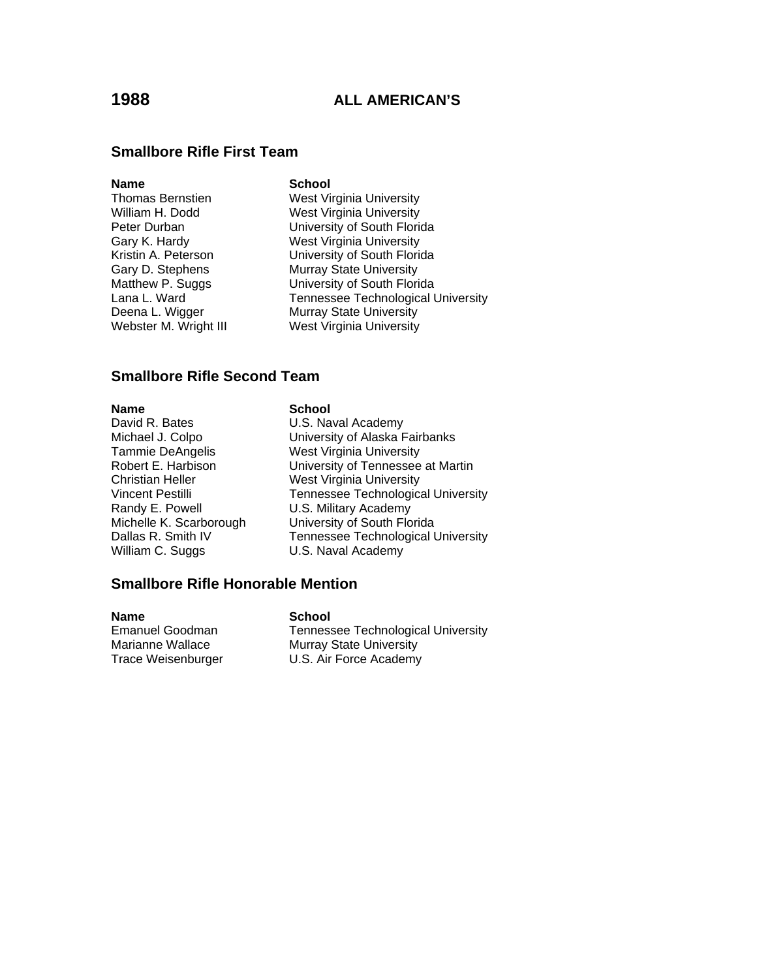### **Smallbore Rifle First Team**

### **Name** School

Webster M. Wright III West Virginia University

Thomas Bernstien West Virginia University William H. Dodd West Virginia University Peter Durban **University of South Florida** Gary K. Hardy West Virginia University Kristin A. Peterson University of South Florida Gary D. Stephens Murray State University Matthew P. Suggs University of South Florida Lana L. Ward **Tennessee Technological University**<br>Deena L. Wigger **Nurray State University Murray State University** 

### **Smallbore Rifle Second Team**

**Name School**<br>
David R. Bates **School**<br>
U.S. Na Tammie DeAngelis **West Virginia University**<br>
Robert E. Harbison **M. University of Tennessee** Christian Heller West Virginia University William C. Suggs **U.S. Naval Academy** 

# U.S. Naval Academy Michael J. Colpo University of Alaska Fairbanks University of Tennessee at Martin Vincent Pestilli Tennessee Technological University<br>
Randy E. Powell C.S. Military Academy U.S. Military Academy Michelle K. Scarborough University of South Florida Dallas R. Smith IV Tennessee Technological University

## **Smallbore Rifle Honorable Mention**

**Name** School Emanuel Goodman Tennessee Technological University Marianne Wallace Murray State University Trace Weisenburger U.S. Air Force Academy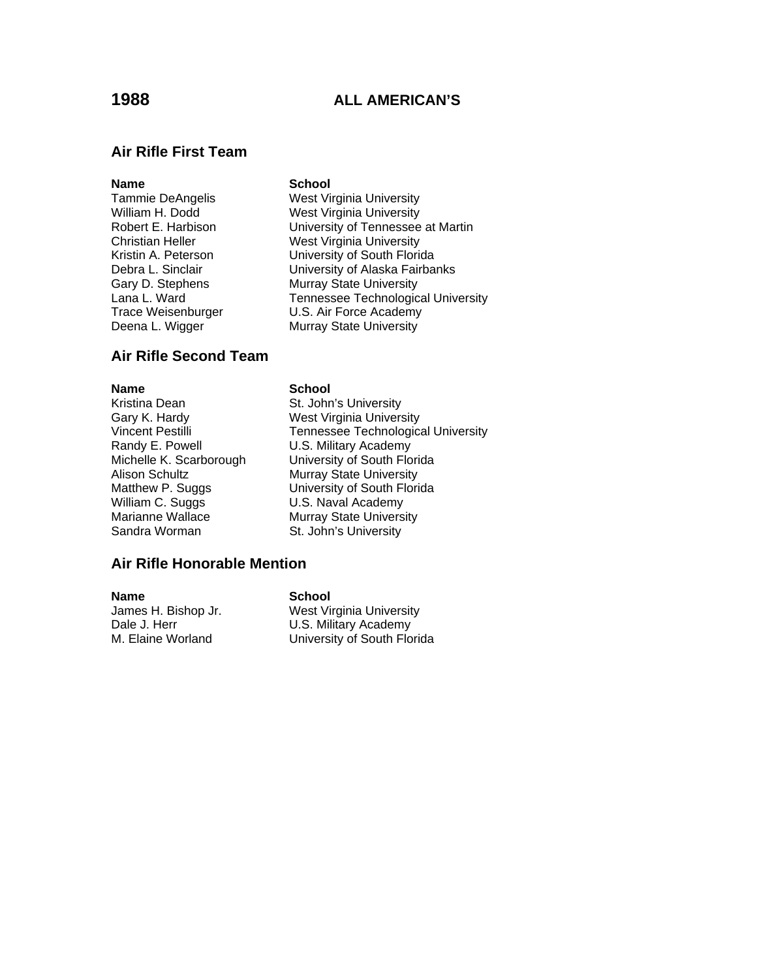### **Air Rifle First Team**

### **Name** School

Tammie DeAngelis **West Virginia University**<br>
West Virginia University<br>
West Virginia University William H. Dodd West Virginia University<br>
Robert E. Harbison Muniversity of Tennessee University of Tennessee at Martin Christian Heller West Virginia University Kristin A. Peterson University of South Florida Debra L. Sinclair **Debra L. Sinclair** University of Alaska Fairbanks Gary D. Stephens Murray State University Lana L. Ward **Tennessee Technological University** Trace Weisenburger U.S. Air Force Academy Deena L. Wigger Murray State University

### **Air Rifle Second Team**

Kristina Dean St. John's University Gary K. Hardy West Virginia University Randy E. Powell **U.S. Military Academy** Alison Schultz **Murray State University** William C. Suggs **Villiam C. Suggs** U.S. Naval Academy<br>
Marianne Wallace Murray State Univers

### **Name** School

Vincent Pestilli **Tennessee Technological University** Michelle K. Scarborough University of South Florida Matthew P. Suggs **University of South Florida**<br>
William C. Suggs **U.S. Naval Academy** Marianne Wallace Murray State University<br>
Sandra Worman St. John's University St. John's University

### **Air Rifle Honorable Mention**

**Name School**

West Virginia University Dale J. Herr **D.S. Military Academy**<br>M. Elaine Worland **M. Elaine Worland** University of South Florida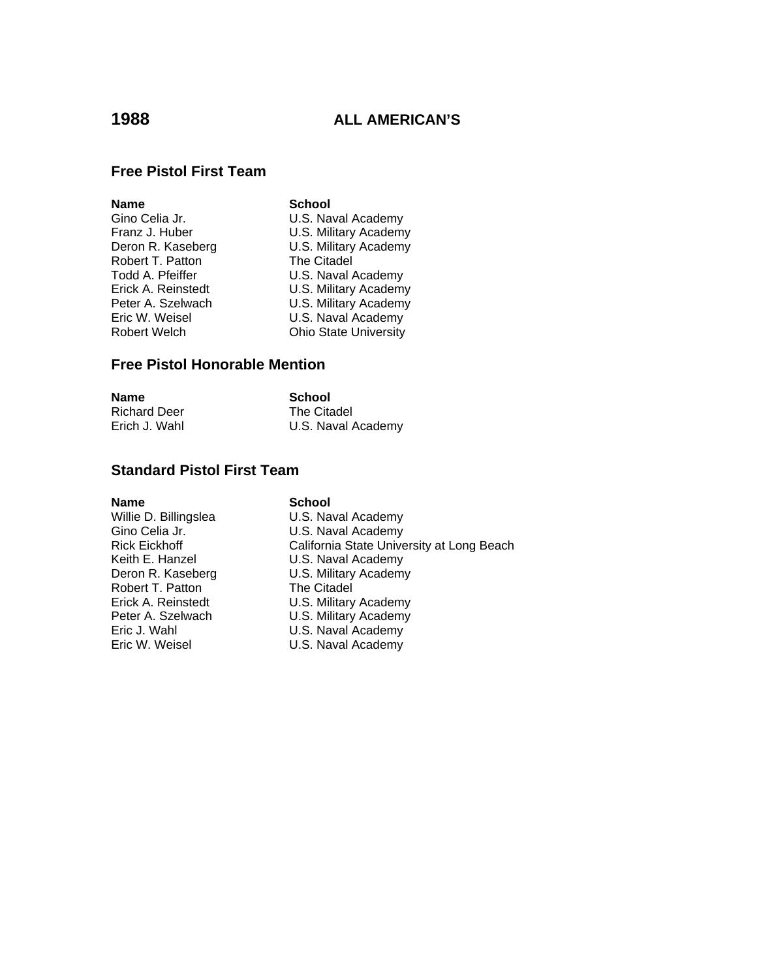## **Free Pistol First Team**

| Name               | <b>School</b>                |
|--------------------|------------------------------|
| Gino Celia Jr.     | U.S. Naval Academy           |
| Franz J. Huber     | U.S. Military Academy        |
| Deron R. Kaseberg  | U.S. Military Academy        |
| Robert T. Patton   | The Citadel                  |
| Todd A. Pfeiffer   | U.S. Naval Academy           |
| Erick A. Reinstedt | U.S. Military Academy        |
| Peter A. Szelwach  | U.S. Military Academy        |
| Eric W. Weisel     | U.S. Naval Academy           |
| Robert Welch       | <b>Ohio State University</b> |
|                    |                              |

### **Free Pistol Honorable Mention**

| <b>Name</b>         | School             |
|---------------------|--------------------|
| <b>Richard Deer</b> | The Citadel        |
| Erich J. Wahl       | U.S. Naval Academy |

## **Standard Pistol First Team**

**Name School**<br>
Willie D. Billingslea **School**<br>
U.S. Nav Robert T. Patton<br>Erick A. Reinstedt

Willie D. Billingslea **U.S. Naval Academy**<br>Gino Celia Jr. **Naval Academy** Gino Celia Jr.<br>
Rick Eickhoff **California** State Unive Rick Eickhoff California State University at Long Beach Keith E. Hanzel **U.S. Naval Academy**<br>Deron R. Kaseberg **U.S. Military Academy** U.S. Military Academy<br>The Citadel Erick A. Reinstedt U.S. Military Academy<br>
Peter A. Szelwach U.S. Military Academy U.S. Military Academy Eric J. Wahl **Eric J. Wahl Communist Communist Communist** U.S. Naval Academy U.S. Naval Academy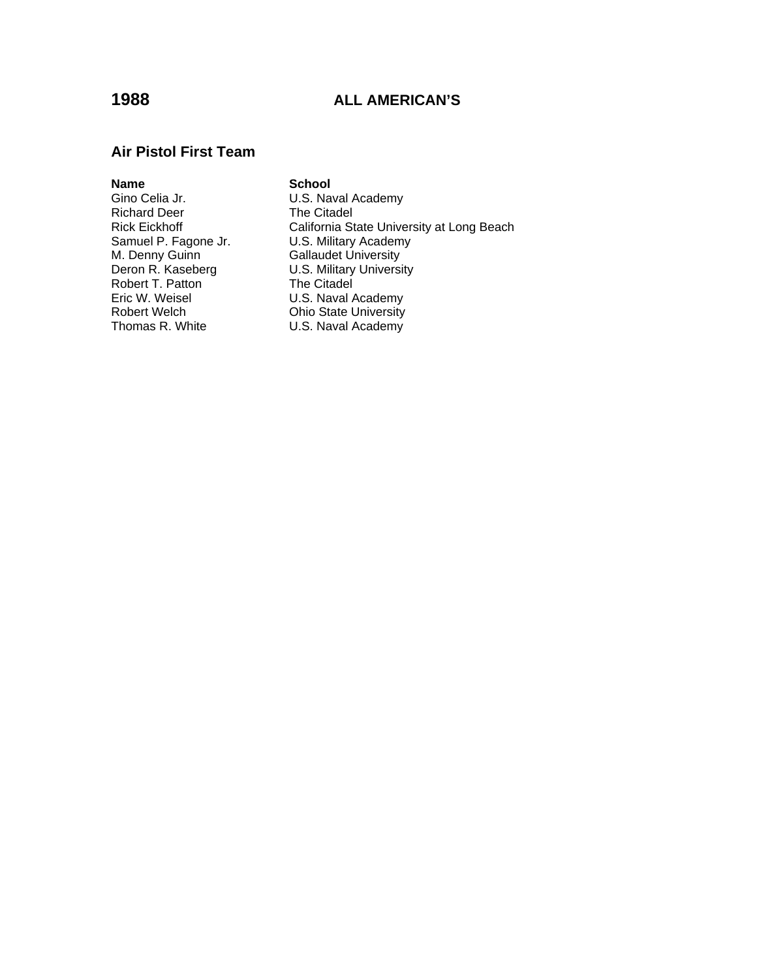### **Air Pistol First Team**

**Name School**  Richard Deer<br>Rick Eickhoff Samuel P. Fagone Jr. **U.S. Military Academy** M. Denny Guinn Gallaudet University Robert T. Patton The Citadel<br>
Fric W. Weisel The Citadel U.S. Naval A Eric W. Weisel **Eric W. Weisel C.S. Naval Academy**<br>Robert Welch **C. A. C. A. C. Ohio State University** Thomas R. White **U.S. Naval Academy** 

U.S. Naval Academy<br>The Citadel Rick Eickhoff California State University at Long Beach<br>Samuel P. Fagone Jr. C.S. Military Academy Deron R. Kaseberg **U.S. Military University Ohio State University**